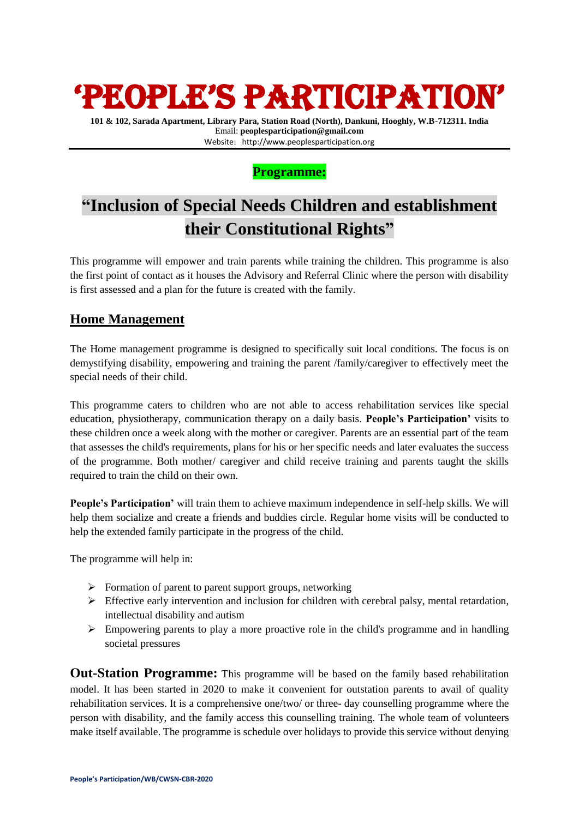# 'PEOPLE'S PARTICIPATION'

**101 & 102, Sarada Apartment, Library Para, Station Road (North), Dankuni, Hooghly, W.B-712311. India** Email: **peoplesparticipation@gmail.com** Website: [http://www.peoplesparticipation.org](http://www.peoplesparticipation.org/)

### **Programme:**

## **"Inclusion of Special Needs Children and establishment their Constitutional Rights"**

This programme will empower and train parents while training the children. This programme is also the first point of contact as it houses the Advisory and Referral Clinic where the person with disability is first assessed and a plan for the future is created with the family.

### **Home Management**

The Home management programme is designed to specifically suit local conditions. The focus is on demystifying disability, empowering and training the parent /family/caregiver to effectively meet the special needs of their child.

This programme caters to children who are not able to access rehabilitation services like special education, physiotherapy, communication therapy on a daily basis. **People's Participation'** visits to these children once a week along with the mother or caregiver. Parents are an essential part of the team that assesses the child's requirements, plans for his or her specific needs and later evaluates the success of the programme. Both mother/ caregiver and child receive training and parents taught the skills required to train the child on their own.

**People's Participation'** will train them to achieve maximum independence in self-help skills. We will help them socialize and create a friends and buddies circle. Regular home visits will be conducted to help the extended family participate in the progress of the child.

The programme will help in:

- $\triangleright$  Formation of parent to parent support groups, networking
- $\triangleright$  Effective early intervention and inclusion for children with cerebral palsy, mental retardation, intellectual disability and autism
- $\triangleright$  Empowering parents to play a more proactive role in the child's programme and in handling societal pressures

**Out-Station Programme:** This programme will be based on the family based rehabilitation model. It has been started in 2020 to make it convenient for outstation parents to avail of quality rehabilitation services. It is a comprehensive one/two/ or three- day counselling programme where the person with disability, and the family access this counselling training. The whole team of volunteers make itself available. The programme is schedule over holidays to provide this service without denying